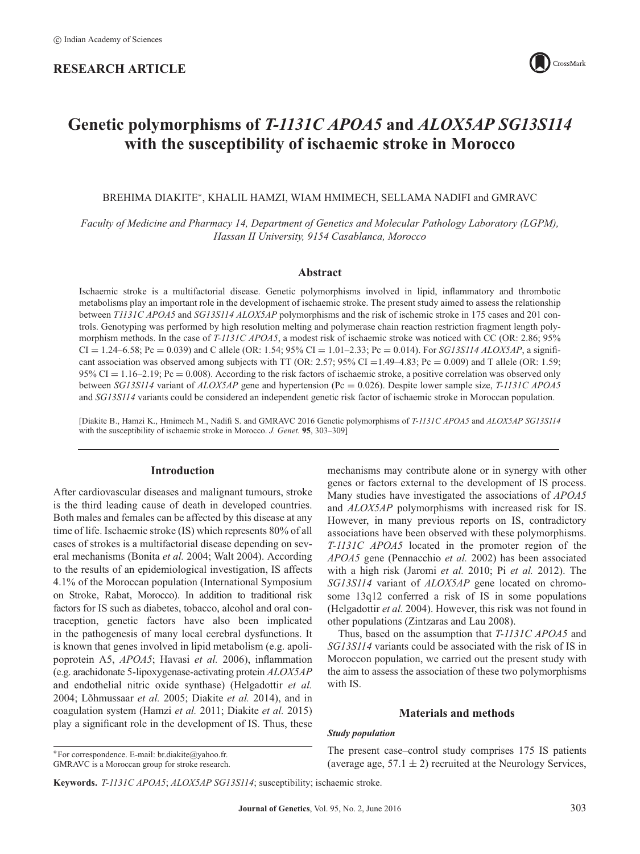# **RESEARCH ARTICLE**



# **Genetic polymorphisms of** *T-1131C APOA5* **and** *ALOX5AP SG13S114* **with the susceptibility of ischaemic stroke in Morocco**

BREHIMA DIAKITE<sup>∗</sup>, KHALIL HAMZI, WIAM HMIMECH, SELLAMA NADIFI and GMRAVC

*Faculty of Medicine and Pharmacy 14, Department of Genetics and Molecular Pathology Laboratory (LGPM), Hassan II University, 9154 Casablanca, Morocco*

## **Abstract**

Ischaemic stroke is a multifactorial disease. Genetic polymorphisms involved in lipid, inflammatory and thrombotic metabolisms play an important role in the development of ischaemic stroke. The present study aimed to assess the relationship between *T1131C APOA5* and *SG13S114 ALOX5AP* polymorphisms and the risk of ischemic stroke in 175 cases and 201 controls. Genotyping was performed by high resolution melting and polymerase chain reaction restriction fragment length polymorphism methods. In the case of *T-1131C APOA5*, a modest risk of ischaemic stroke was noticed with CC (OR: 2.86; 95%  $CI = 1.24-6.58$ ;  $Pc = 0.039$  and C allele (OR: 1.54; 95%  $CI = 1.01-2.33$ ;  $Pc = 0.014$ ). For *SG13S114 ALOX5AP*, a significant association was observed among subjects with TT (OR: 2.57; 95% CI = 1.49–4.83; Pc = 0.009) and T allele (OR: 1.59;  $95\%$  CI = 1.16–2.19; Pc = 0.008). According to the risk factors of ischaemic stroke, a positive correlation was observed only between *SG13S114* variant of *ALOX5AP* gene and hypertension (Pc = 0.026). Despite lower sample size, *T-1131C APOA5* and *SG13S114* variants could be considered an independent genetic risk factor of ischaemic stroke in Moroccan population.

[Diakite B., Hamzi K., Hmimech M., Nadifi S. and GMRAVC 2016 Genetic polymorphisms of *T-1131C APOA5* and *ALOX5AP SG13S114* with the susceptibility of ischaemic stroke in Morocco. *J. Genet.* **95**, 303–309]

## **Introduction**

After cardiovascular diseases and malignant tumours, stroke is the third leading cause of death in developed countries. Both males and females can be affected by this disease at any time of life. Ischaemic stroke (IS) which represents 80% of all cases of strokes is a multifactorial disease depending on several mechanisms (Bonita *et al.* 2004; Walt 2004). According to the results of an epidemiological investigation, IS affects 4.1% of the Moroccan population (International Symposium on Stroke, Rabat, Morocco). In addition to traditional risk factors for IS such as diabetes, tobacco, alcohol and oral contraception, genetic factors have also been implicated in the pathogenesis of many local cerebral dysfunctions. It is known that genes involved in lipid metabolism (e.g. apolipoprotein A5, *APOA5*; Havasi *et al.* 2006), inflammation (e.g. arachidonate 5-lipoxygenase-activating protein *ALOX5AP* and endothelial nitric oxide synthase) (Helgadottir *et al.* 2004; Lõhmussaar *et al.* 2005; Diakite *et al.* 2014), and in coagulation system (Hamzi *et al.* 2011; Diakite *et al.* 2015) play a significant role in the development of IS. Thus, these mechanisms may contribute alone or in synergy with other genes or factors external to the development of IS process. Many studies have investigated the associations of *APOA5* and *ALOX5AP* polymorphisms with increased risk for IS. However, in many previous reports on IS, contradictory associations have been observed with these polymorphisms. *T-1131C APOA5* located in the promoter region of the *APOA5* gene (Pennacchio *et al.* 2002) has been associated with a high risk (Jaromi *et al.* 2010; Pi *et al.* 2012). The *SG13S114* variant of *ALOX5AP* gene located on chromosome 13q12 conferred a risk of IS in some populations (Helgadottir *et al.* 2004). However, this risk was not found in other populations (Zintzaras and Lau 2008).

Thus, based on the assumption that *T-1131C APOA5* and *SG13S114* variants could be associated with the risk of IS in Moroccon population, we carried out the present study with the aim to assess the association of these two polymorphisms with IS.

# **Materials and methods**

#### *Study population*

The present case–control study comprises 175 IS patients (average age,  $57.1 \pm 2$ ) recruited at the Neurology Services,

**Keywords.** *T-1131C APOA5*; *ALOX5AP SG13S114*; susceptibility; ischaemic stroke.

<sup>∗</sup>For correspondence. E-mail: br.diakite@yahoo.fr.

GMRAVC is a Moroccan group for stroke research.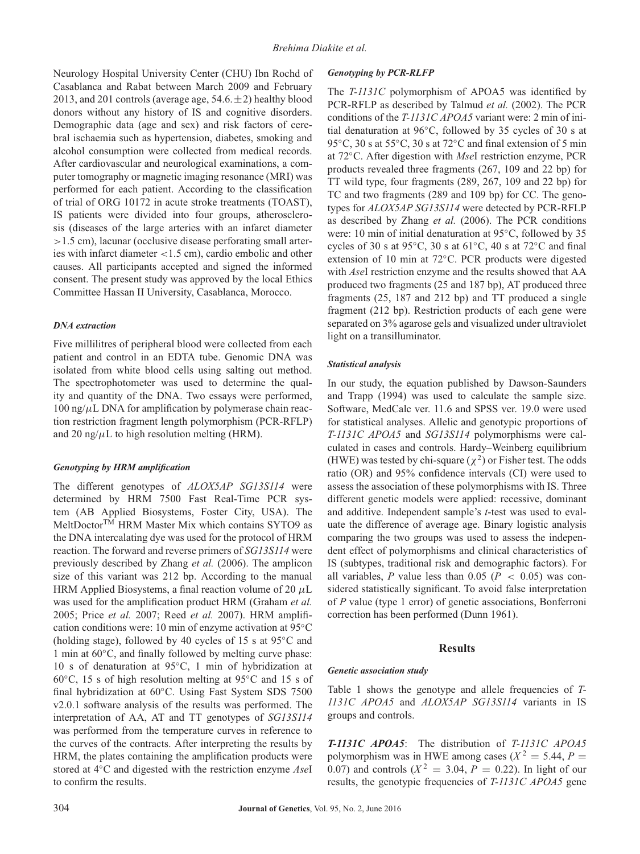Neurology Hospital University Center (CHU) Ibn Rochd of Casablanca and Rabat between March 2009 and February 2013, and 201 controls (average age,  $54.6 \pm 2$ ) healthy blood donors without any history of IS and cognitive disorders. Demographic data (age and sex) and risk factors of cerebral ischaemia such as hypertension, diabetes, smoking and alcohol consumption were collected from medical records. After cardiovascular and neurological examinations, a computer tomography or magnetic imaging resonance (MRI) was performed for each patient. According to the classification of trial of ORG 10172 in acute stroke treatments (TOAST), IS patients were divided into four groups, atherosclerosis (diseases of the large arteries with an infarct diameter *>*1.5 cm), lacunar (occlusive disease perforating small arteries with infarct diameter *<*1.5 cm), cardio embolic and other causes. All participants accepted and signed the informed consent. The present study was approved by the local Ethics Committee Hassan II University, Casablanca, Morocco.

# *DNA extraction*

Five millilitres of peripheral blood were collected from each patient and control in an EDTA tube. Genomic DNA was isolated from white blood cells using salting out method. The spectrophotometer was used to determine the quality and quantity of the DNA. Two essays were performed,  $100$  ng/ $\mu$ L DNA for amplification by polymerase chain reaction restriction fragment length polymorphism (PCR-RFLP) and 20 ng/ $\mu$ L to high resolution melting (HRM).

# *Genotyping by HRM amplification*

The different genotypes of *ALOX5AP SG13S114* were determined by HRM 7500 Fast Real-Time PCR system (AB Applied Biosystems, Foster City, USA). The MeltDoctorTM HRM Master Mix which contains SYTO9 as the DNA intercalating dye was used for the protocol of HRM reaction. The forward and reverse primers of *SG13S114* were previously described by Zhang *et al.* (2006). The amplicon size of this variant was 212 bp. According to the manual HRM Applied Biosystems, a final reaction volume of 20 *μ*L was used for the amplification product HRM (Graham *et al.* 2005; Price *et al.* 2007; Reed *et al.* 2007). HRM amplification conditions were: 10 min of enzyme activation at 95◦C (holding stage), followed by 40 cycles of 15 s at 95◦C and 1 min at 60◦C, and finally followed by melting curve phase: 10 s of denaturation at 95◦C, 1 min of hybridization at 60◦C, 15 s of high resolution melting at 95◦C and 15 s of final hybridization at 60◦C. Using Fast System SDS 7500 v2.0.1 software analysis of the results was performed. The interpretation of AA, AT and TT genotypes of *SG13S114* was performed from the temperature curves in reference to the curves of the contracts. After interpreting the results by HRM, the plates containing the amplification products were stored at 4◦C and digested with the restriction enzyme *Ase*I to confirm the results.

# *Genotyping by PCR-RLFP*

The *T-1131C* polymorphism of APOA5 was identified by PCR-RFLP as described by Talmud *et al.* (2002). The PCR conditions of the *T-1131C APOA5* variant were: 2 min of initial denaturation at 96◦C, followed by 35 cycles of 30 s at 95 °C, 30 s at 55 °C, 30 s at 72 °C and final extension of 5 min at 72◦C. After digestion with *Mse*I restriction enzyme, PCR products revealed three fragments (267, 109 and 22 bp) for TT wild type, four fragments (289, 267, 109 and 22 bp) for TC and two fragments (289 and 109 bp) for CC. The genotypes for *ALOX5AP SG13S114* were detected by PCR-RFLP as described by Zhang *et al.* (2006). The PCR conditions were: 10 min of initial denaturation at 95◦C, followed by 35 cycles of 30 s at 95◦C, 30 s at 61◦C, 40 s at 72◦C and final extension of 10 min at 72◦C. PCR products were digested with *Ase*I restriction enzyme and the results showed that AA produced two fragments (25 and 187 bp), AT produced three fragments (25, 187 and 212 bp) and TT produced a single fragment (212 bp). Restriction products of each gene were separated on 3% agarose gels and visualized under ultraviolet light on a transilluminator.

## *Statistical analysis*

In our study, the equation published by Dawson-Saunders and Trapp (1994) was used to calculate the sample size. Software, MedCalc ver. 11.6 and SPSS ver. 19.0 were used for statistical analyses. Allelic and genotypic proportions of *T-1131C APOA5* and *SG13S114* polymorphisms were calculated in cases and controls. Hardy–Weinberg equilibrium (HWE) was tested by chi-square  $(\chi^2)$  or Fisher test. The odds ratio (OR) and 95% confidence intervals (CI) were used to assess the association of these polymorphisms with IS. Three different genetic models were applied: recessive, dominant and additive. Independent sample's *t*-test was used to evaluate the difference of average age. Binary logistic analysis comparing the two groups was used to assess the independent effect of polymorphisms and clinical characteristics of IS (subtypes, traditional risk and demographic factors). For all variables,  $P$  value less than 0.05 ( $P < 0.05$ ) was considered statistically significant. To avoid false interpretation of *P* value (type 1 error) of genetic associations, Bonferroni correction has been performed (Dunn 1961).

## **Results**

# *Genetic association study*

Table 1 shows the genotype and allele frequencies of *T-1131C APOA5* and *ALOX5AP SG13S114* variants in IS groups and controls.

*T-1131C APOA5*: The distribution of *T-1131C APOA5* polymorphism was in HWE among cases ( $X^2 = 5.44$ ,  $P =$ 0.07) and controls ( $X^2 = 3.04$ ,  $P = 0.22$ ). In light of our results, the genotypic frequencies of *T-1131C APOA5* gene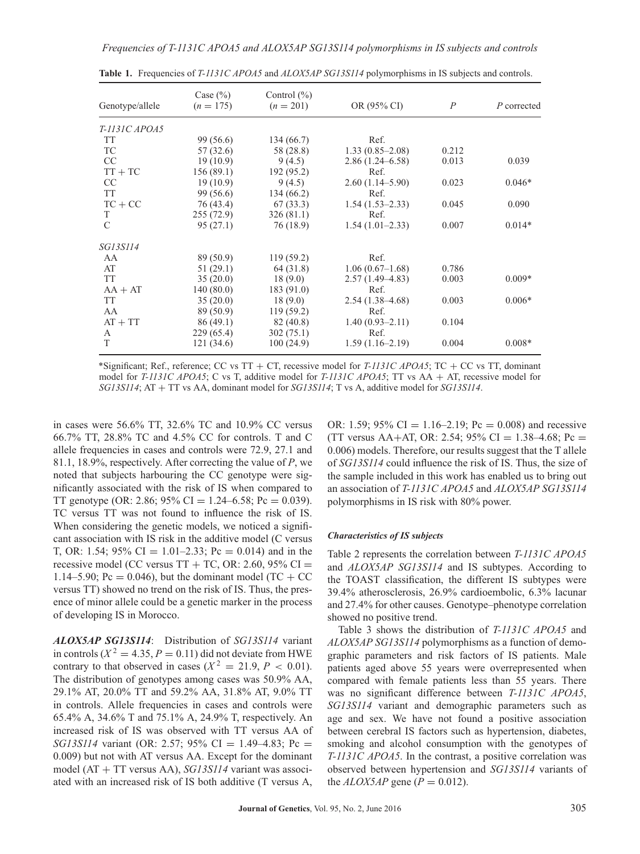| Genotype/allele | Case $(\% )$<br>$(n = 175)$ |            | OR (95% CI)         | $\overline{P}$ | P corrected |  |
|-----------------|-----------------------------|------------|---------------------|----------------|-------------|--|
| T-1131C APOA5   |                             |            |                     |                |             |  |
| <b>TT</b>       | 99 (56.6)                   | 134 (66.7) | Ref.                |                |             |  |
| TC              | 57 (32.6)                   | 58 (28.8)  | $1.33(0.85-2.08)$   | 0.212          |             |  |
| CC              | 19(10.9)                    | 9(4.5)     | $2.86(1.24 - 6.58)$ | 0.013          | 0.039       |  |
| $TT + TC$       | 156(89.1)                   | 192(95.2)  | Ref.                |                |             |  |
| CC              | 19(10.9)                    | 9(4.5)     | $2.60(1.14-5.90)$   | 0.023          | $0.046*$    |  |
| <b>TT</b>       | 99 (56.6)                   | 134(66.2)  | Ref.                |                |             |  |
| $TC + CC$       | 76 (43.4)                   | 67(33.3)   | $1.54(1.53-2.33)$   | 0.045          | 0.090       |  |
| T               | 255(72.9)                   | 326(81.1)  | Ref.                |                |             |  |
| $\mathcal{C}$   | 95(27.1)                    | 76 (18.9)  | $1.54(1.01-2.33)$   | 0.007          | $0.014*$    |  |
| <i>SG13S114</i> |                             |            |                     |                |             |  |
| AA              | 89 (50.9)                   | 119(59.2)  | Ref.                |                |             |  |
| AT              | 51(29.1)                    | 64 (31.8)  | $1.06(0.67-1.68)$   | 0.786          |             |  |
| <b>TT</b>       | 35(20.0)                    | 18(9.0)    | $2.57(1.49-4.83)$   | 0.003          | $0.009*$    |  |
| $AA + AT$       | 140(80.0)                   | 183(91.0)  | Ref.                |                |             |  |
| <b>TT</b>       | 35(20.0)                    | 18(9.0)    | $2.54(1.38-4.68)$   | 0.003          | $0.006*$    |  |
| AA              | 89 (50.9)                   | 119(59.2)  | Ref.                |                |             |  |
| $AT + TT$       | 86(49.1)                    | 82 (40.8)  | $1.40(0.93 - 2.11)$ | 0.104          |             |  |
| A               | 229(65.4)                   | 302(75.1)  | Ref.                |                |             |  |
| T               | 121 (34.6)                  | 100(24.9)  | $1.59(1.16-2.19)$   | 0.004          | $0.008*$    |  |

**Table 1.** Frequencies of *T-1131C APOA5* and *ALOX5AP SG13S114* polymorphisms in IS subjects and controls.

\*Significant; Ref., reference; CC vs TT + CT, recessive model for *T-1131C APOA5*; TC + CC vs TT, dominant model for *T-1131C APOA5*; C vs T, additive model for *T-1131C APOA5*; TT vs AA + AT, recessive model for *SG13S114*; AT + TT vs AA, dominant model for *SG13S114*; T vs A, additive model for *SG13S114*.

in cases were 56.6% TT, 32.6% TC and 10.9% CC versus 66.7% TT, 28.8% TC and 4.5% CC for controls. T and C allele frequencies in cases and controls were 72.9, 27.1 and 81.1, 18.9%, respectively. After correcting the value of *P*, we noted that subjects harbouring the CC genotype were significantly associated with the risk of IS when compared to TT genotype (OR: 2.86; 95% CI = 1.24–6.58; Pc = 0.039). TC versus TT was not found to influence the risk of IS. When considering the genetic models, we noticed a significant association with IS risk in the additive model (C versus T, OR: 1.54; 95% CI = 1.01–2.33; Pc = 0.014) and in the recessive model (CC versus  $TT + TC$ , OR: 2.60, 95% CI = 1.14–5.90; Pc = 0.046), but the dominant model (TC + CC versus TT) showed no trend on the risk of IS. Thus, the presence of minor allele could be a genetic marker in the process of developing IS in Morocco.

*ALOX5AP SG13S114*: Distribution of *SG13S114* variant in controls ( $X^2 = 4.35$ ,  $P = 0.11$ ) did not deviate from HWE contrary to that observed in cases ( $X^2 = 21.9, P < 0.01$ ). The distribution of genotypes among cases was 50.9% AA, 29.1% AT, 20.0% TT and 59.2% AA, 31.8% AT, 9.0% TT in controls. Allele frequencies in cases and controls were 65.4% A, 34.6% T and 75.1% A, 24.9% T, respectively. An increased risk of IS was observed with TT versus AA of *SG13S114* variant (OR: 2.57; 95% CI = 1.49–4.83; Pc = 0.009) but not with AT versus AA. Except for the dominant model (AT + TT versus AA), *SG13S114* variant was associated with an increased risk of IS both additive (T versus A,

OR: 1.59; 95% CI = 1.16–2.19; Pc = 0.008) and recessive (TT versus AA+AT, OR: 2.54; 95% CI = 1.38–4.68; Pc = 0.006) models. Therefore, our results suggest that the T allele of *SG13S114* could influence the risk of IS. Thus, the size of the sample included in this work has enabled us to bring out an association of *T-1131C APOA5* and *ALOX5AP SG13S114* polymorphisms in IS risk with 80% power.

#### *Characteristics of IS subjects*

Table 2 represents the correlation between *T-1131C APOA5* and *ALOX5AP SG13S114* and IS subtypes. According to the TOAST classification, the different IS subtypes were 39.4% atherosclerosis, 26.9% cardioembolic, 6.3% lacunar and 27.4% for other causes. Genotype–phenotype correlation showed no positive trend.

Table 3 shows the distribution of *T-1131C APOA5* and *ALOX5AP SG13S114* polymorphisms as a function of demographic parameters and risk factors of IS patients. Male patients aged above 55 years were overrepresented when compared with female patients less than 55 years. There was no significant difference between *T-1131C APOA5*, *SG13S114* variant and demographic parameters such as age and sex. We have not found a positive association between cerebral IS factors such as hypertension, diabetes, smoking and alcohol consumption with the genotypes of *T-1131C APOA5*. In the contrast, a positive correlation was observed between hypertension and *SG13S114* variants of the  $ALOX5AP$  gene ( $P = 0.012$ ).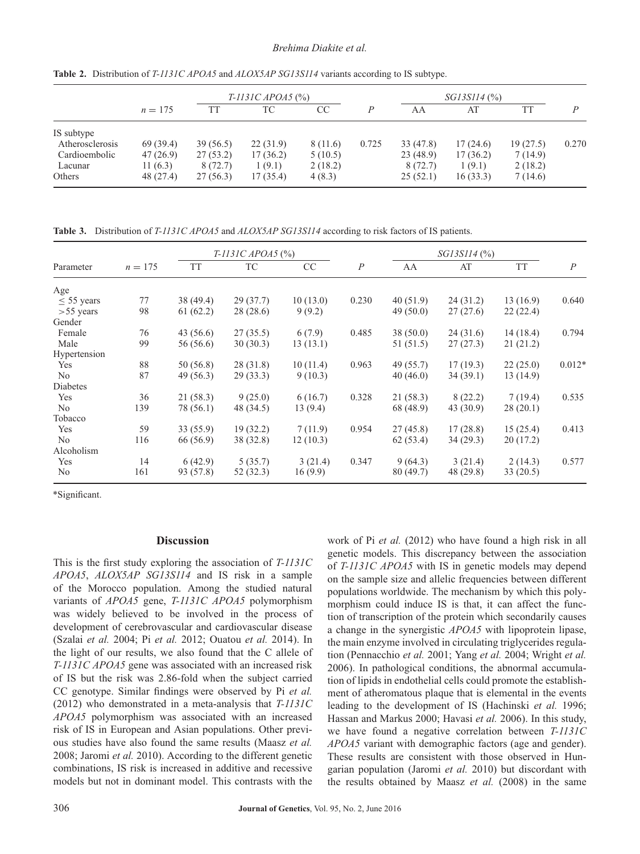|                 |            |          | $T-1131C$ APOA5 $(\% )$ |          |                |          | $SGI3SII4$ $(\% )$ |          |       |
|-----------------|------------|----------|-------------------------|----------|----------------|----------|--------------------|----------|-------|
|                 | $n = 175$  | TT       | ТC                      | CC       | $\overline{P}$ | AA       | AT                 |          | P     |
| IS subtype      |            |          |                         |          |                |          |                    |          |       |
| Atherosclerosis | 69(39.4)   | 39(56.5) | 22(31.9)                | 8 (11.6) | 0.725          | 33(47.8) | 17(24.6)           | 19(27.5) | 0.270 |
| Cardioembolic   | 47(26.9)   | 27(53.2) | 17(36.2)                | 5(10.5)  |                | 23(48.9) | 17(36.2)           | 7(14.9)  |       |
| Lacunar         | 11 $(6.3)$ | 8 (72.7) | 1(9.1)                  | 2(18.2)  |                | 8(72.7)  | 1(9.1)             | 2(18.2)  |       |
| Others          | 48 (27.4)  | 27(56.3) | 17 (35.4)               | 4(8.3)   |                | 25(52.1) | 16(33.3)           | 7(14.6)  |       |

**Table 2.** Distribution of *T-1131C APOA5* and *ALOX5AP SG13S114* variants according to IS subtype.

**Table 3.** Distribution of *T-1131C APOA5* and *ALOX5AP SG13S114* according to risk factors of IS patients.

| Parameter      | $n = 175$ | $T-1131C$ APOA5 $(\% )$ |           |          |                | $SGI3SII4$ $(\% )$ |           |           |                |
|----------------|-----------|-------------------------|-----------|----------|----------------|--------------------|-----------|-----------|----------------|
|                |           | <b>TT</b>               | <b>TC</b> | CC       | $\overline{P}$ | AA                 | AT        | <b>TT</b> | $\overline{P}$ |
| Age            |           |                         |           |          |                |                    |           |           |                |
| $<$ 55 years   | 77        | 38 (49.4)               | 29(37.7)  | 10(13.0) | 0.230          | 40(51.9)           | 24(31.2)  | 13(16.9)  | 0.640          |
| $> 55$ years   | 98        | 61(62.2)                | 28 (28.6) | 9(9.2)   |                | 49(50.0)           | 27(27.6)  | 22(22.4)  |                |
| Gender         |           |                         |           |          |                |                    |           |           |                |
| Female         | 76        | 43(56.6)                | 27(35.5)  | 6(7.9)   | 0.485          | 38(50.0)           | 24(31.6)  | 14(18.4)  | 0.794          |
| Male           | 99        | 56 (56.6)               | 30(30.3)  | 13(13.1) |                | 51 (51.5)          | 27(27.3)  | 21(21.2)  |                |
| Hypertension   |           |                         |           |          |                |                    |           |           |                |
| Yes            | 88        | 50 (56.8)               | 28(31.8)  | 10(11.4) | 0.963          | 49 (55.7)          | 17(19.3)  | 22(25.0)  | $0.012*$       |
| N <sub>0</sub> | 87        | 49(56.3)                | 29(33.3)  | 9(10.3)  |                | 40(46.0)           | 34(39.1)  | 13(14.9)  |                |
| Diabetes       |           |                         |           |          |                |                    |           |           |                |
| Yes            | 36        | 21(58.3)                | 9(25.0)   | 6(16.7)  | 0.328          | 21(58.3)           | 8(22.2)   | 7(19.4)   | 0.535          |
| N <sub>0</sub> | 139       | 78 (56.1)               | 48 (34.5) | 13(9.4)  |                | 68 (48.9)          | 43(30.9)  | 28(20.1)  |                |
| Tobacco        |           |                         |           |          |                |                    |           |           |                |
| Yes            | 59        | 33(55.9)                | 19(32.2)  | 7(11.9)  | 0.954          | 27(45.8)           | 17(28.8)  | 15(25.4)  | 0.413          |
| N <sub>o</sub> | 116       | 66 (56.9)               | 38 (32.8) | 12(10.3) |                | 62(53.4)           | 34(29.3)  | 20(17.2)  |                |
| Alcoholism     |           |                         |           |          |                |                    |           |           |                |
| Yes            | 14        | 6(42.9)                 | 5(35.7)   | 3(21.4)  | 0.347          | 9(64.3)            | 3(21.4)   | 2(14.3)   | 0.577          |
| N <sub>o</sub> | 161       | 93 (57.8)               | 52 (32.3) | 16(9.9)  |                | 80 (49.7)          | 48 (29.8) | 33(20.5)  |                |

\*Significant.

## **Discussion**

This is the first study exploring the association of *T-1131C APOA5*, *ALOX5AP SG13S114* and IS risk in a sample of the Morocco population. Among the studied natural variants of *APOA5* gene, *T-1131C APOA5* polymorphism was widely believed to be involved in the process of development of cerebrovascular and cardiovascular disease (Szalai *et al.* 2004; Pi *et al.* 2012; Ouatou *et al.* 2014). In the light of our results, we also found that the C allele of *T-1131C APOA5* gene was associated with an increased risk of IS but the risk was 2.86-fold when the subject carried CC genotype. Similar findings were observed by Pi *et al.* (2012) who demonstrated in a meta-analysis that *T-1131C APOA5* polymorphism was associated with an increased risk of IS in European and Asian populations. Other previous studies have also found the same results (Maasz *et al.* 2008; Jaromi *et al.* 2010). According to the different genetic combinations, IS risk is increased in additive and recessive models but not in dominant model. This contrasts with the work of Pi *et al.* (2012) who have found a high risk in all genetic models. This discrepancy between the association of *T-1131C APOA5* with IS in genetic models may depend on the sample size and allelic frequencies between different populations worldwide. The mechanism by which this polymorphism could induce IS is that, it can affect the function of transcription of the protein which secondarily causes a change in the synergistic *APOA5* with lipoprotein lipase, the main enzyme involved in circulating triglycerides regulation (Pennacchio *et al.* 2001; Yang *et al.* 2004; Wright *et al.* 2006). In pathological conditions, the abnormal accumulation of lipids in endothelial cells could promote the establishment of atheromatous plaque that is elemental in the events leading to the development of IS (Hachinski *et al.* 1996; Hassan and Markus 2000; Havasi *et al.* 2006). In this study, we have found a negative correlation between *T-1131C APOA5* variant with demographic factors (age and gender). These results are consistent with those observed in Hungarian population (Jaromi *et al.* 2010) but discordant with the results obtained by Maasz *et al.* (2008) in the same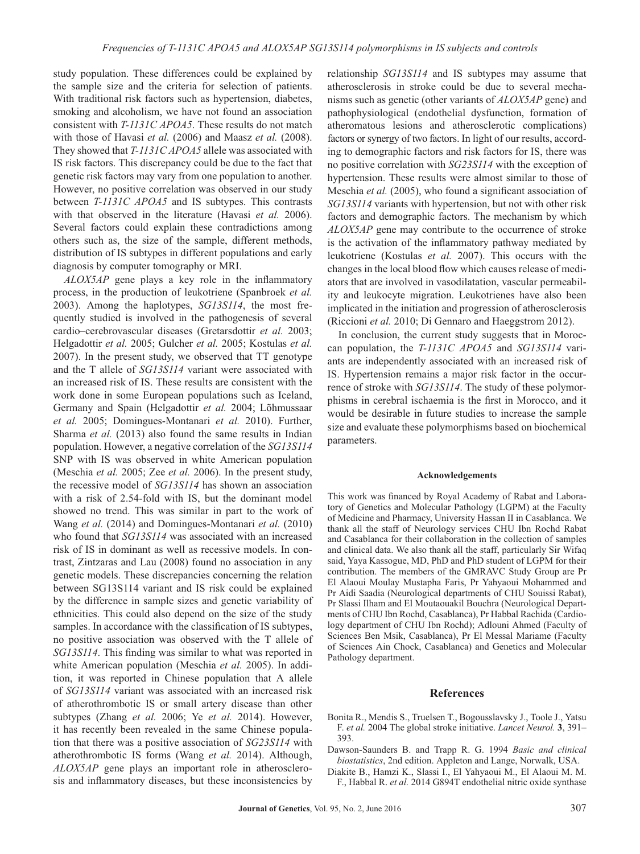study population. These differences could be explained by the sample size and the criteria for selection of patients. With traditional risk factors such as hypertension, diabetes, smoking and alcoholism, we have not found an association consistent with *T-1131C APOA5*. These results do not match with those of Havasi *et al.* (2006) and Maasz *et al.* (2008). They showed that *T-1131C APOA5* allele was associated with IS risk factors. This discrepancy could be due to the fact that genetic risk factors may vary from one population to another. However, no positive correlation was observed in our study between *T-1131C APOA5* and IS subtypes. This contrasts with that observed in the literature (Havasi *et al.* 2006). Several factors could explain these contradictions among others such as, the size of the sample, different methods, distribution of IS subtypes in different populations and early diagnosis by computer tomography or MRI.

*ALOX5AP* gene plays a key role in the inflammatory process, in the production of leukotriene (Spanbroek *et al.* 2003). Among the haplotypes, *SG13S114*, the most frequently studied is involved in the pathogenesis of several cardio–cerebrovascular diseases (Gretarsdottir *et al.* 2003; Helgadottir *et al.* 2005; Gulcher *et al.* 2005; Kostulas *et al.* 2007). In the present study, we observed that TT genotype and the T allele of *SG13S114* variant were associated with an increased risk of IS. These results are consistent with the work done in some European populations such as Iceland, Germany and Spain (Helgadottir *et al.* 2004; Lõhmussaar *et al.* 2005; Domingues-Montanari *et al.* 2010). Further, Sharma *et al.* (2013) also found the same results in Indian population. However, a negative correlation of the *SG13S114* SNP with IS was observed in white American population (Meschia *et al.* 2005; Zee *et al.* 2006). In the present study, the recessive model of *SG13S114* has shown an association with a risk of 2.54-fold with IS, but the dominant model showed no trend. This was similar in part to the work of Wang *et al.* (2014) and Domingues-Montanari *et al.* (2010) who found that *SG13S114* was associated with an increased risk of IS in dominant as well as recessive models. In contrast, Zintzaras and Lau (2008) found no association in any genetic models. These discrepancies concerning the relation between SG13S114 variant and IS risk could be explained by the difference in sample sizes and genetic variability of ethnicities. This could also depend on the size of the study samples. In accordance with the classification of IS subtypes, no positive association was observed with the T allele of *SG13S114*. This finding was similar to what was reported in white American population (Meschia *et al.* 2005). In addition, it was reported in Chinese population that A allele of *SG13S114* variant was associated with an increased risk of atherothrombotic IS or small artery disease than other subtypes (Zhang *et al.* 2006; Ye *et al.* 2014). However, it has recently been revealed in the same Chinese population that there was a positive association of *SG23S114* with atherothrombotic IS forms (Wang *et al.* 2014). Although, *ALOX5AP* gene plays an important role in atherosclerosis and inflammatory diseases, but these inconsistencies by

relationship *SG13S114* and IS subtypes may assume that atherosclerosis in stroke could be due to several mechanisms such as genetic (other variants of *ALOX5AP* gene) and pathophysiological (endothelial dysfunction, formation of atheromatous lesions and atherosclerotic complications) factors or synergy of two factors. In light of our results, according to demographic factors and risk factors for IS, there was no positive correlation with *SG23S114* with the exception of hypertension. These results were almost similar to those of Meschia *et al.* (2005), who found a significant association of *SG13S114* variants with hypertension, but not with other risk factors and demographic factors. The mechanism by which *ALOX5AP* gene may contribute to the occurrence of stroke is the activation of the inflammatory pathway mediated by leukotriene (Kostulas *et al.* 2007). This occurs with the changes in the local blood flow which causes release of mediators that are involved in vasodilatation, vascular permeability and leukocyte migration. Leukotrienes have also been implicated in the initiation and progression of atherosclerosis (Riccioni *et al.* 2010; Di Gennaro and Haeggstrom 2012).

In conclusion, the current study suggests that in Moroccan population, the *T-1131C APOA5* and *SG13S114* variants are independently associated with an increased risk of IS. Hypertension remains a major risk factor in the occurrence of stroke with *SG13S114*. The study of these polymorphisms in cerebral ischaemia is the first in Morocco, and it would be desirable in future studies to increase the sample size and evaluate these polymorphisms based on biochemical parameters.

#### **Acknowledgements**

This work was financed by Royal Academy of Rabat and Laboratory of Genetics and Molecular Pathology (LGPM) at the Faculty of Medicine and Pharmacy, University Hassan II in Casablanca. We thank all the staff of Neurology services CHU Ibn Rochd Rabat and Casablanca for their collaboration in the collection of samples and clinical data. We also thank all the staff, particularly Sir Wifaq said, Yaya Kassogue, MD, PhD and PhD student of LGPM for their contribution. The members of the GMRAVC Study Group are Pr El Alaoui Moulay Mustapha Faris, Pr Yahyaoui Mohammed and Pr Aidi Saadia (Neurological departments of CHU Souissi Rabat), Pr Slassi Ilham and El Moutaouakil Bouchra (Neurological Departments of CHU Ibn Rochd, Casablanca), Pr Habbal Rachida (Cardiology department of CHU Ibn Rochd); Adlouni Ahmed (Faculty of Sciences Ben Msik, Casablanca), Pr El Messal Mariame (Faculty of Sciences Ain Chock, Casablanca) and Genetics and Molecular Pathology department.

#### **References**

- Bonita R., Mendis S., Truelsen T., Bogousslavsky J., Toole J., Yatsu F. *et al.* 2004 The global stroke initiative. *Lancet Neurol.* **3**, 391– 393.
- Dawson-Saunders B. and Trapp R. G. 1994 *Basic and clinical biostatistics*, 2nd edition. Appleton and Lange, Norwalk, USA.
- Diakite B., Hamzi K., Slassi I., El Yahyaoui M., El Alaoui M. M. F., Habbal R. *et al.* 2014 G894T endothelial nitric oxide synthase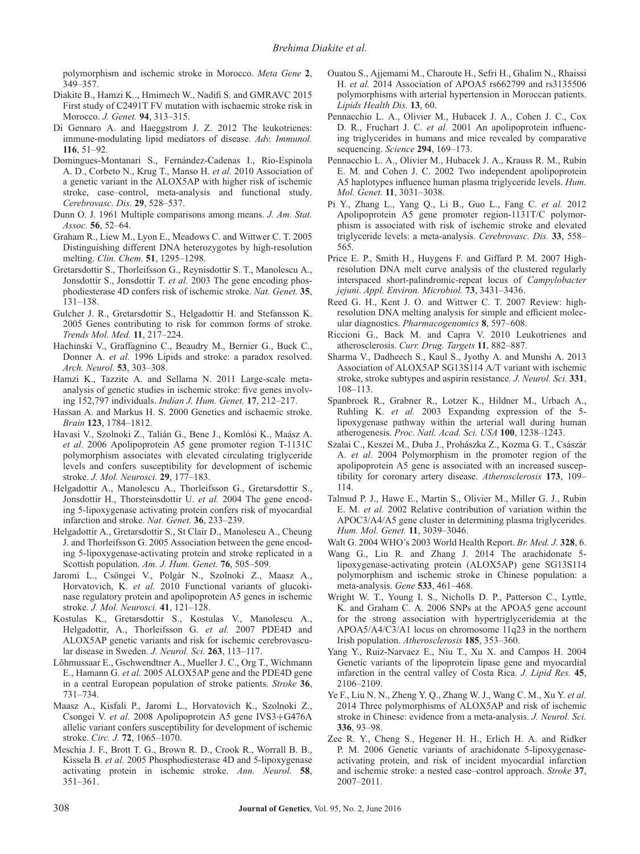polymorphism and ischemic stroke in Morocco. *Meta Gene* **2**, 349–357.

- Diakite B., Hamzi K.., Hmimech W., Nadifi S. and GMRAVC 2015 First study of C2491T FV mutation with ischaemic stroke risk in Morocco. *J. Genet.* **94**, 313–315.
- Di Gennaro A. and Haeggstrom J. Z. 2012 The leukotrienes: immune-modulating lipid mediators of disease. *Adv. Immunol.* **116**, 51–92.
- Domingues-Montanari S., Fernández-Cadenas I., Rio-Espinola A. D., Corbeto N., Krug T., Manso H. *et al.* 2010 Association of a genetic variant in the ALOX5AP with higher risk of ischemic stroke, case–control, meta-analysis and functional study. *Cerebrovasc. Dis.* **29**, 528–537.
- Dunn O. J. 1961 Multiple comparisons among means. *J. Am. Stat. Assoc.* **56**, 52–64.
- Graham R., Liew M., Lyon E., Meadows C. and Wittwer C. T. 2005 Distinguishing different DNA heterozygotes by high-resolution melting. *Clin. Chem.* **51**, 1295–1298.
- Gretarsdottir S., Thorleifsson G., Reynisdottir S. T., Manolescu A., Jonsdottir S., Jonsdottir T. *et al.* 2003 The gene encoding phosphodiesterase 4D confers risk of ischemic stroke. *Nat. Genet.* **35**, 131–138.
- Gulcher J. R., Gretarsdottir S., Helgadottir H. and Stefansson K. 2005 Genes contributing to risk for common forms of stroke. *Trends Mol. Med.* **11**, 217–224.
- Hachinski V., Graffagnino C., Beaudry M., Bernier G., Buck C., Donner A. *et al.* 1996 Lipids and stroke: a paradox resolved. *Arch. Neurol.* **53**, 303–308.
- Hamzi K., Tazzite A. and Sellama N. 2011 Large-scale metaanalysis of genetic studies in ischemic stroke: five genes involving 152,797 individuals. *Indian J. Hum. Genet.* **17**, 212–217.
- Hassan A. and Markus H. S. 2000 Genetics and ischaemic stroke. *Brain* **123**, 1784–1812.
- Havasi V., Szolnoki Z., Talián G., Bene J., Komlósi K., Maász A. *et al.* 2006 Apolipoprotein A5 gene promoter region T-1131C polymorphism associates with elevated circulating triglyceride levels and confers susceptibility for development of ischemic stroke. *J. Mol. Neurosci.* **29**, 177–183.
- Helgadottir A., Manolescu A., Thorleifsson G., Gretarsdottir S., Jonsdottir H., Thorsteinsdottir U. *et al.* 2004 The gene encoding 5-lipoxygenase activating protein confers risk of myocardial infarction and stroke. *Nat. Genet.* **36**, 233–239.
- Helgadottir A., Gretarsdottir S., St Clair D., Manolescu A., Cheung J. and Thorleifsson G. 2005 Association between the gene encoding 5-lipoxygenase-activating protein and stroke replicated in a Scottish population. *Am. J. Hum. Genet.* **76**, 505–509.
- Jaromi L., Csöngei V., Polgár N., Szolnoki Z., Maasz A., Horvatovich, K. *et al.* 2010 Functional variants of glucokinase regulatory protein and apolipoprotein A5 genes in ischemic stroke. *J. Mol. Neurosci.* **41**, 121–128.
- Kostulas K., Gretarsdottir S., Kostulas V., Manolescu A., Helgadottir, A., Thorleifsson G. *et al.* 2007 PDE4D and ALOX5AP genetic variants and risk for ischemic cerebrovascular disease in Sweden. *J. Neurol. Sci.* **263**, 113–117.
- Lõhmussaar E., Gschwendtner A., Mueller J. C., Org T., Wichmann E., Hamann G. *et al.* 2005 ALOX5AP gene and the PDE4D gene in a central European population of stroke patients. *Stroke* **36**, 731–734.
- Maasz A., Kisfali P., Jaromi L., Horvatovich K., Szolnoki Z., Csongei V. *et al.* 2008 Apolipoprotein A5 gene IVS3+G476A allelic variant confers susceptibility for development of ischemic stroke. *Circ. J.* **72**, 1065–1070.
- Meschia J. F., Brott T. G., Brown R. D., Crook R., Worrall B. B., Kissela B. *et al.* 2005 Phosphodiesterase 4D and 5-lipoxygenase activating protein in ischemic stroke. *Ann. Neurol.* **58**, 351–361.
- Ouatou S., Ajjemami M., Charoute H., Sefri H., Ghalim N., Rhaissi H. *et al.* 2014 Association of APOA5 rs662799 and rs3135506 polymorphisms with arterial hypertension in Moroccan patients. *Lipids Health Dis.* **13**, 60.
- Pennacchio L. A., Olivier M., Hubacek J. A., Cohen J. C., Cox D. R., Fruchart J. C. *et al.* 2001 An apolipoprotein influencing triglycerides in humans and mice revealed by comparative sequencing. *Science* **294**, 169–173.
- Pennacchio L. A., Olivier M., Hubacek J. A., Krauss R. M., Rubin E. M. and Cohen J. C. 2002 Two independent apolipoprotein A5 haplotypes influence human plasma triglyceride levels. *Hum. Mol. Genet.* **11**, 3031–3038.
- Pi Y., Zhang L., Yang Q., Li B., Guo L., Fang C. *et al.* 2012 Apolipoprotein A5 gene promoter region-1131T/C polymorphism is associated with risk of ischemic stroke and elevated triglyceride levels: a meta-analysis. *Cerebrovasc. Dis.* **33**, 558– 565.
- Price E. P., Smith H., Huygens F. and Giffard P. M. 2007 Highresolution DNA melt curve analysis of the clustered regularly interspaced short-palindromic-repeat locus of *Campylobacter jejuni*. *Appl. Environ. Microbiol.* **73**, 3431–3436.
- Reed G. H., Kent J. O. and Wittwer C. T. 2007 Review: highresolution DNA melting analysis for simple and efficient molecular diagnostics. *Pharmacogenomics* **8**, 597–608.
- Riccioni G., Back M. and Capra V. 2010 Leukotrienes and atherosclerosis. *Curr. Drug. Targets* **11**, 882–887.
- Sharma V., Dadheech S., Kaul S., Jyothy A. and Munshi A. 2013 Association of ALOX5AP SG13S114 A/T variant with ischemic stroke, stroke subtypes and aspirin resistance. *J. Neurol. Sci.* **331**, 108–113.
- Spanbroek R., Grabner R., Lotzer K., Hildner M., Urbach A., Ruhling K. *et al.* 2003 Expanding expression of the 5 lipoxygenase pathway within the arterial wall during human atherogenesis. *Proc. Natl. Acad. Sci. USA* **100**, 1238–1243.
- Szalai C., Keszei M., Duba J., Prohászka Z., Kozma G. T., Császár A. *et al.* 2004 Polymorphism in the promoter region of the apolipoprotein A5 gene is associated with an increased susceptibility for coronary artery disease. *Atherosclerosis* **173**, 109– 114.
- Talmud P. J., Hawe E., Martin S., Olivier M., Miller G. J., Rubin E. M. *et al.* 2002 Relative contribution of variation within the APOC3/A4/A5 gene cluster in determining plasma triglycerides. *Hum. Mol. Genet.* **11**, 3039–3046.
- Walt G. 2004 WHO's 2003 World Health Report. *Br. Med. J.* **328**, 6.
- Wang G., Liu R. and Zhang J. 2014 The arachidonate 5 lipoxygenase-activating protein (ALOX5AP) gene SG13S114 polymorphism and ischemic stroke in Chinese population: a meta-analysis. *Gene* **533**, 461–468.
- Wright W. T., Young I. S., Nicholls D. P., Patterson C., Lyttle, K. and Graham C. A. 2006 SNPs at the APOA5 gene account for the strong association with hypertriglyceridemia at the APOA5/A4/C3/A1 locus on chromosome 11q23 in the northern Irish population. *Atherosclerosis* **185**, 353–360.
- Yang Y., Ruiz-Narvaez E., Niu T., Xu X. and Campos H. 2004 Genetic variants of the lipoprotein lipase gene and myocardial infarction in the central valley of Costa Rica. *J. Lipid Res.* **45**, 2106–2109.
- Ye F., Liu N. N., Zheng Y. Q., Zhang W. J., Wang C. M., Xu Y. *et al.* 2014 Three polymorphisms of ALOX5AP and risk of ischemic stroke in Chinese: evidence from a meta-analysis. *J. Neurol. Sci.* **336**, 93–98.
- Zee R. Y., Cheng S., Hegener H. H., Erlich H. A. and Ridker P. M. 2006 Genetic variants of arachidonate 5-lipoxygenaseactivating protein, and risk of incident myocardial infarction and ischemic stroke: a nested case–control approach. *Stroke* **37**, 2007–2011.